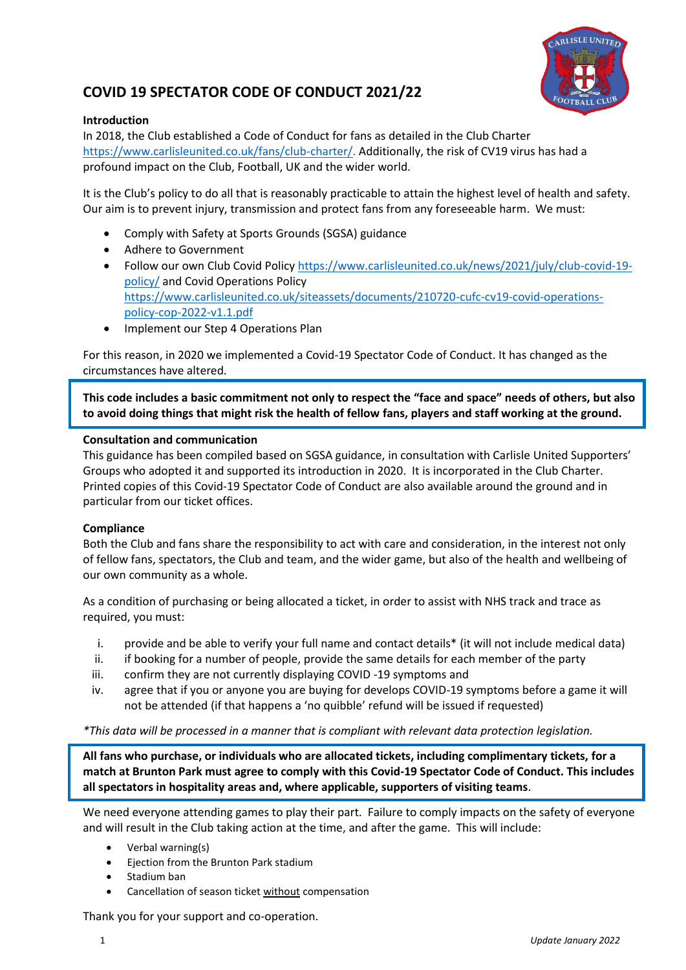

# **COVID 19 SPECTATOR CODE OF CONDUCT 2021/22**

### **Introduction**

In 2018, the Club established a Code of Conduct for fans as detailed in the Club Charter [https://www.carlisleunited.co.uk/fans/club-charter/.](https://www.carlisleunited.co.uk/fans/club-charter/) Additionally, the risk of CV19 virus has had a profound impact on the Club, Football, UK and the wider world.

It is the Club's policy to do all that is reasonably practicable to attain the highest level of health and safety. Our aim is to prevent injury, transmission and protect fans from any foreseeable harm. We must:

- Comply with Safety at Sports Grounds (SGSA) guidance
- Adhere to Government
- Follow our own Club Covid Polic[y https://www.carlisleunited.co.uk/news/2021/july/club-covid-19](https://www.carlisleunited.co.uk/news/2021/july/club-covid-19-policy/) [policy/](https://www.carlisleunited.co.uk/news/2021/july/club-covid-19-policy/) and Covid Operations Policy [https://www.carlisleunited.co.uk/siteassets/documents/210720-cufc-cv19-covid-operations](https://www.carlisleunited.co.uk/siteassets/documents/210720-cufc-cv19-covid-operations-policy-cop-2022-v1.1.pdf)[policy-cop-2022-v1.1.pdf](https://www.carlisleunited.co.uk/siteassets/documents/210720-cufc-cv19-covid-operations-policy-cop-2022-v1.1.pdf)
- Implement our Step 4 Operations Plan

For this reason, in 2020 we implemented a Covid-19 Spectator Code of Conduct. It has changed as the circumstances have altered.

**This code includes a basic commitment not only to respect the "face and space" needs of others, but also to avoid doing things that might risk the health of fellow fans, players and staff working at the ground.**

#### **Consultation and communication**

This guidance has been compiled based on SGSA guidance, in consultation with Carlisle United Supporters' Groups who adopted it and supported its introduction in 2020. It is incorporated in the Club Charter. Printed copies of this Covid-19 Spectator Code of Conduct are also available around the ground and in particular from our ticket offices.

### **Compliance**

Both the Club and fans share the responsibility to act with care and consideration, in the interest not only of fellow fans, spectators, the Club and team, and the wider game, but also of the health and wellbeing of our own community as a whole.

As a condition of purchasing or being allocated a ticket, in order to assist with NHS track and trace as required, you must:

- i. provide and be able to verify your full name and contact details\* (it will not include medical data)
- ii. if booking for a number of people, provide the same details for each member of the party
- iii. confirm they are not currently displaying COVID -19 symptoms and
- iv. agree that if you or anyone you are buying for develops COVID-19 symptoms before a game it will not be attended (if that happens a 'no quibble' refund will be issued if requested)

*\*This data will be processed in a manner that is compliant with relevant data protection legislation.* 

**All fans who purchase, or individuals who are allocated tickets, including complimentary tickets, for a match at Brunton Park must agree to comply with this Covid-19 Spectator Code of Conduct. This includes all spectators in hospitality areas and, where applicable, supporters of visiting teams**.

We need everyone attending games to play their part. Failure to comply impacts on the safety of everyone and will result in the Club taking action at the time, and after the game. This will include:

- Verbal warning(s)
- Ejection from the Brunton Park stadium
- Stadium ban
- Cancellation of season ticket without compensation

Thank you for your support and co-operation.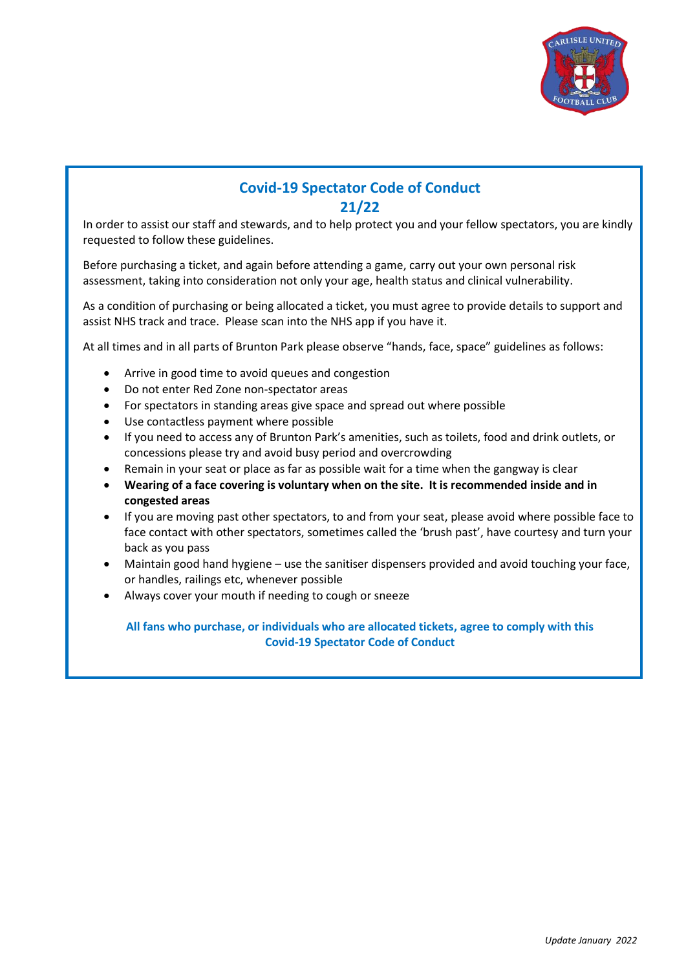

## **Covid-19 Spectator Code of Conduct 21/22**

In order to assist our staff and stewards, and to help protect you and your fellow spectators, you are kindly requested to follow these guidelines.

Before purchasing a ticket, and again before attending a game, carry out your own personal risk assessment, taking into consideration not only your age, health status and clinical vulnerability.

As a condition of purchasing or being allocated a ticket, you must agree to provide details to support and assist NHS track and trace. Please scan into the NHS app if you have it.

At all times and in all parts of Brunton Park please observe "hands, face, space" guidelines as follows:

- Arrive in good time to avoid queues and congestion
- Do not enter Red Zone non-spectator areas
- For spectators in standing areas give space and spread out where possible
- Use contactless payment where possible
- If you need to access any of Brunton Park's amenities, such as toilets, food and drink outlets, or concessions please try and avoid busy period and overcrowding
- Remain in your seat or place as far as possible wait for a time when the gangway is clear
- **Wearing of a face covering is voluntary when on the site. It is recommended inside and in congested areas**
- If you are moving past other spectators, to and from your seat, please avoid where possible face to face contact with other spectators, sometimes called the 'brush past', have courtesy and turn your back as you pass
- Maintain good hand hygiene use the sanitiser dispensers provided and avoid touching your face, or handles, railings etc, whenever possible
- Always cover your mouth if needing to cough or sneeze

**All fans who purchase, or individuals who are allocated tickets, agree to comply with this Covid-19 Spectator Code of Conduct**